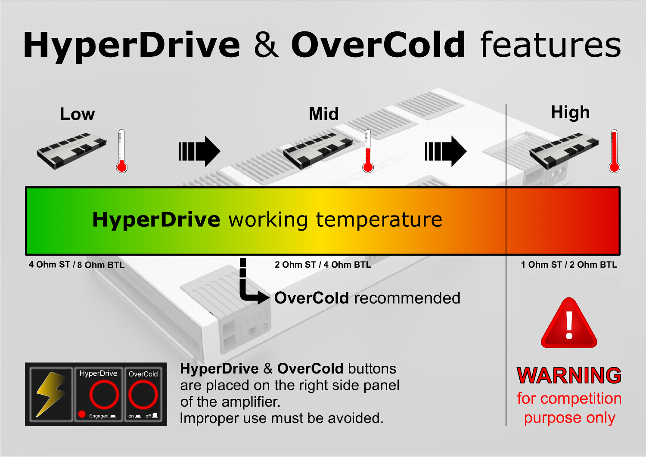# **HyperDrive & OverCold features**



purpose only

Improper use must be avoided.

Engaged **b**